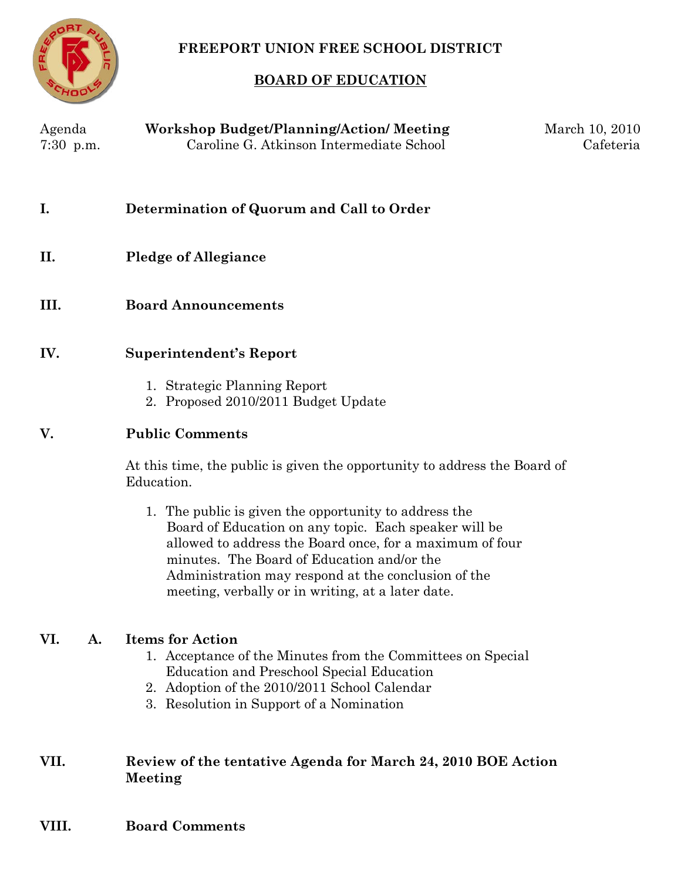

## **FREEPORT UNION FREE SCHOOL DISTRICT**

## **BOARD OF EDUCATION**

| Agenda<br>$7:30$ p.m. | <b>Workshop Budget/Planning/Action/ Meeting</b><br>Caroline G. Atkinson Intermediate School                                                                                                                                                                                                                                          | March 10, 2010<br>Cafeteria |
|-----------------------|--------------------------------------------------------------------------------------------------------------------------------------------------------------------------------------------------------------------------------------------------------------------------------------------------------------------------------------|-----------------------------|
| I.                    | Determination of Quorum and Call to Order                                                                                                                                                                                                                                                                                            |                             |
| II.                   | <b>Pledge of Allegiance</b>                                                                                                                                                                                                                                                                                                          |                             |
| III.                  | <b>Board Announcements</b>                                                                                                                                                                                                                                                                                                           |                             |
| IV.                   | <b>Superintendent's Report</b>                                                                                                                                                                                                                                                                                                       |                             |
|                       | 1. Strategic Planning Report<br>2. Proposed 2010/2011 Budget Update                                                                                                                                                                                                                                                                  |                             |
| V.                    | <b>Public Comments</b>                                                                                                                                                                                                                                                                                                               |                             |
|                       | At this time, the public is given the opportunity to address the Board of<br>Education.                                                                                                                                                                                                                                              |                             |
|                       | 1. The public is given the opportunity to address the<br>Board of Education on any topic. Each speaker will be<br>allowed to address the Board once, for a maximum of four<br>minutes. The Board of Education and/or the<br>Administration may respond at the conclusion of the<br>meeting, verbally or in writing, at a later date. |                             |
| VI.<br>A.             | <b>Items for Action</b><br>1. Acceptance of the Minutes from the Committees on Special<br>Education and Preschool Special Education<br>2. Adoption of the 2010/2011 School Calendar<br>3. Resolution in Support of a Nomination                                                                                                      |                             |
| VII.                  | Review of the tentative Agenda for March 24, 2010 BOE Action<br>Meeting                                                                                                                                                                                                                                                              |                             |
| VIII.                 | <b>Board Comments</b>                                                                                                                                                                                                                                                                                                                |                             |